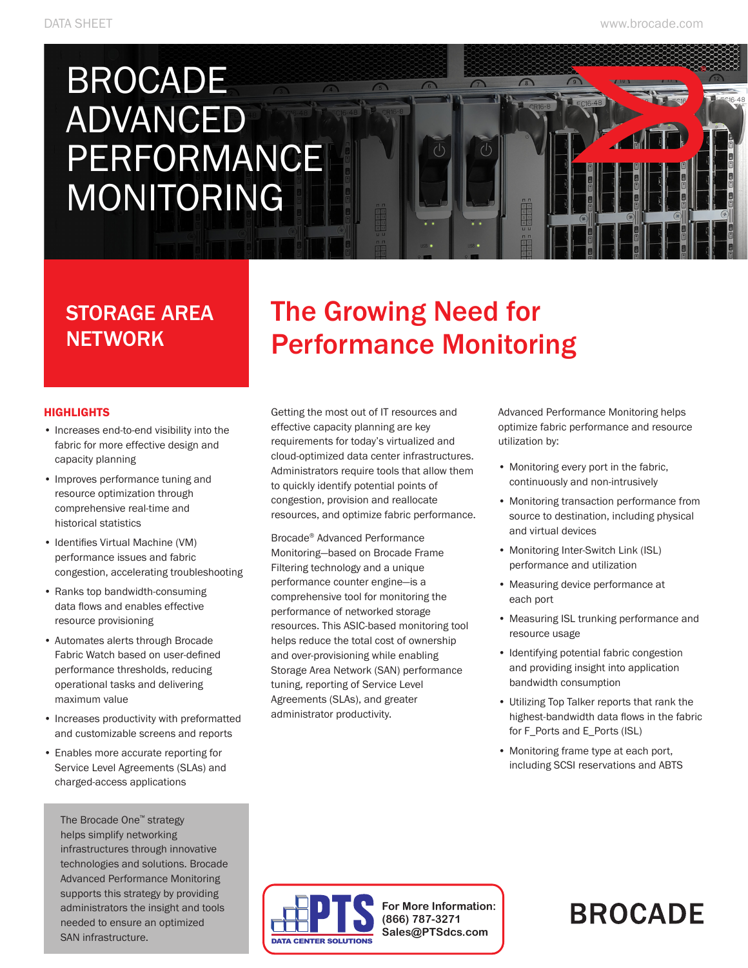# BROCADE ADVANCED PERFORMANCE MONITORING

### STORAGE AREA **NETWORK**

### The Growing Need for Performance Monitoring

 $\sqrt{2}$ 

۱۰)

 $\sqrt{6}$ 

#### **HIGHLIGHTS**

- Increases end-to-end visibility into the fabric for more effective design and capacity planning
- Improves performance tuning and resource optimization through comprehensive real-time and historical statistics
- Identifies Virtual Machine (VM) performance issues and fabric congestion, accelerating troubleshooting
- Ranks top bandwidth-consuming data flows and enables effective resource provisioning
- • Automates alerts through Brocade Fabric Watch based on user-defined performance thresholds, reducing operational tasks and delivering maximum value
- • Increases productivity with preformatted and customizable screens and reports
- • Enables more accurate reporting for Service Level Agreements (SLAs) and charged-access applications

The Brocade One™ strategy helps simplify networking infrastructures through innovative technologies and solutions. Brocade Advanced Performance Monitoring supports this strategy by providing administrators the insight and tools needed to ensure an optimized SAN infrastructure.

Getting the most out of IT resources and effective capacity planning are key requirements for today's virtualized and cloud-optimized data center infrastructures. Administrators require tools that allow them to quickly identify potential points of congestion, provision and reallocate resources, and optimize fabric performance.

Brocade® Advanced Performance Monitoring—based on Brocade Frame Filtering technology and a unique performance counter engine—is a comprehensive tool for monitoring the performance of networked storage resources. This ASIC-based monitoring tool helps reduce the total cost of ownership and over-provisioning while enabling Storage Area Network (SAN) performance tuning, reporting of Service Level Agreements (SLAs), and greater administrator productivity.

Advanced Performance Monitoring helps optimize fabric performance and resource utilization by:

- Monitoring every port in the fabric, continuously and non-intrusively
- • Monitoring transaction performance from source to destination, including physical and virtual devices
- • Monitoring Inter-Switch Link (ISL) performance and utilization
- • Measuring device performance at each port
- • Measuring ISL trunking performance and resource usage
- • Identifying potential fabric congestion and providing insight into application bandwidth consumption
- • Utilizing Top Talker reports that rank the highest-bandwidth data flows in the fabric for F\_Ports and E\_Ports (ISL)
- • Monitoring frame type at each port, including SCSI reservations and ABTS



**For More Information: (866) 787-3271 Sales@PTSdcs.com**

## **BROCADE**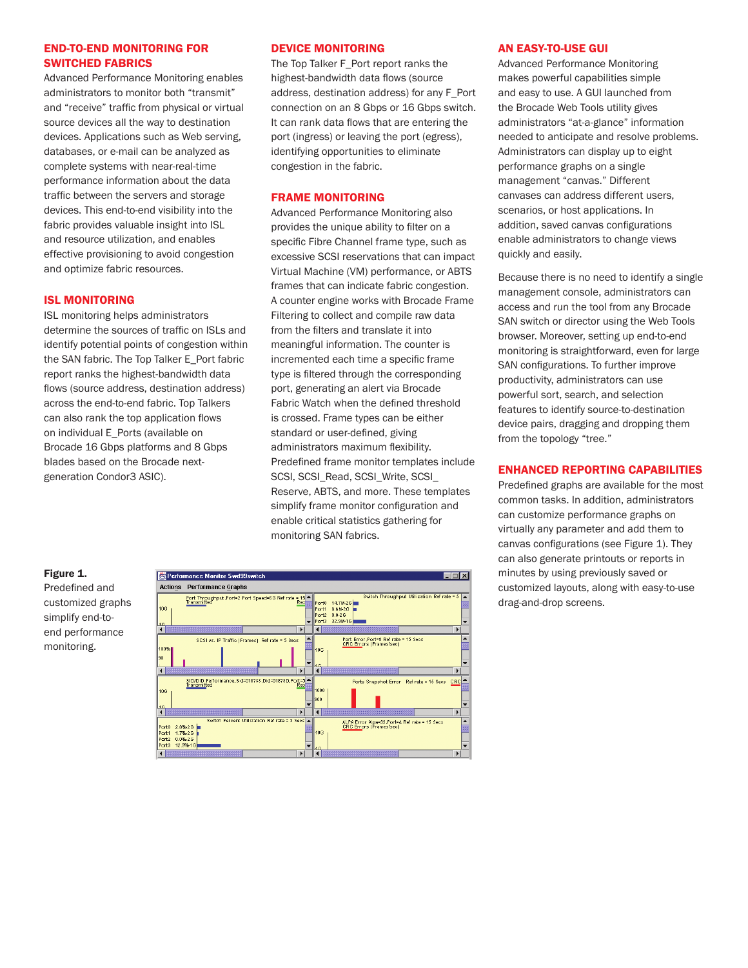#### END-TO-END MONITORING FOR SWITCHED FABRICS

Advanced Performance Monitoring enables administrators to monitor both "transmit" and "receive" traffic from physical or virtual source devices all the way to destination devices. Applications such as Web serving, databases, or e-mail can be analyzed as complete systems with near-real-time performance information about the data traffic between the servers and storage devices. This end-to-end visibility into the fabric provides valuable insight into ISL and resource utilization, and enables effective provisioning to avoid congestion and optimize fabric resources.

#### ISL MONITORING

ISL monitoring helps administrators determine the sources of traffic on ISLs and identify potential points of congestion within the SAN fabric. The Top Talker E\_Port fabric report ranks the highest-bandwidth data flows (source address, destination address) across the end-to-end fabric. Top Talkers can also rank the top application flows on individual E\_Ports (available on Brocade 16 Gbps platforms and 8 Gbps blades based on the Brocade nextgeneration Condor3 ASIC).

#### DEVICE MONITORING

The Top Talker F\_Port report ranks the highest-bandwidth data flows (source address, destination address) for any F\_Port connection on an 8 Gbps or 16 Gbps switch. It can rank data flows that are entering the port (ingress) or leaving the port (egress), identifying opportunities to eliminate congestion in the fabric.

#### FRAME MONITORING

Advanced Performance Monitoring also provides the unique ability to filter on a specific Fibre Channel frame type, such as excessive SCSI reservations that can impact Virtual Machine (VM) performance, or ABTS frames that can indicate fabric congestion. A counter engine works with Brocade Frame Filtering to collect and compile raw data from the filters and translate it into meaningful information. The counter is incremented each time a specific frame type is filtered through the corresponding port, generating an alert via Brocade Fabric Watch when the defined threshold is crossed. Frame types can be either standard or user-defined, giving administrators maximum flexibility. Predefined frame monitor templates include SCSI, SCSI\_Read, SCSI\_Write, SCSI\_ Reserve, ABTS, and more. These templates simplify frame monitor configuration and enable critical statistics gathering for monitoring SAN fabrics.



#### AN EASY-TO-USE GUI

Advanced Performance Monitoring makes powerful capabilities simple and easy to use. A GUI launched from the Brocade Web Tools utility gives administrators "at-a-glance" information needed to anticipate and resolve problems. Administrators can display up to eight performance graphs on a single management "canvas." Different canvases can address different users, scenarios, or host applications. In addition, saved canvas configurations enable administrators to change views quickly and easily.

Because there is no need to identify a single management console, administrators can access and run the tool from any Brocade SAN switch or director using the Web Tools browser. Moreover, setting up end-to-end monitoring is straightforward, even for large SAN configurations. To further improve productivity, administrators can use powerful sort, search, and selection features to identify source-to-destination device pairs, dragging and dropping them from the topology "tree."

#### ENHANCED REPORTING CAPABILITIES

Predefined graphs are available for the most common tasks. In addition, administrators can customize performance graphs on virtually any parameter and add them to canvas configurations (see Figure 1). They can also generate printouts or reports in minutes by using previously saved or customized layouts, along with easy-to-use drag-and-drop screens.

#### Figure 1.

Predefined and customized graphs simplify end-toend performance monitoring.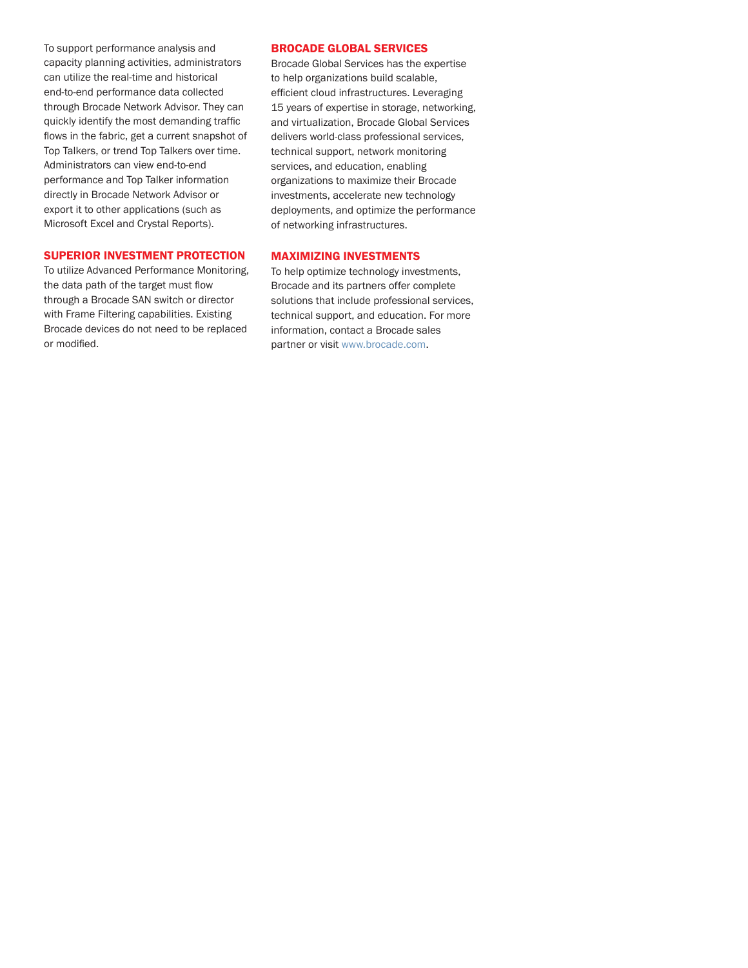To support performance analysis and capacity planning activities, administrators can utilize the real-time and historical end-to-end performance data collected through Brocade Network Advisor. They can quickly identify the most demanding traffic flows in the fabric, get a current snapshot of Top Talkers, or trend Top Talkers over time. Administrators can view end-to-end performance and Top Talker information directly in Brocade Network Advisor or export it to other applications (such as Microsoft Excel and Crystal Reports).

#### SUPERIOR INVESTMENT PROTECTION

To utilize Advanced Performance Monitoring, the data path of the target must flow through a Brocade SAN switch or director with Frame Filtering capabilities. Existing Brocade devices do not need to be replaced or modified.

#### BROCADE GLOBAL SERVICES

Brocade Global Services has the expertise to help organizations build scalable, efficient cloud infrastructures. Leveraging 15 years of expertise in storage, networking, and virtualization, Brocade Global Services delivers world-class professional services, technical support, network monitoring services, and education, enabling organizations to maximize their Brocade investments, accelerate new technology deployments, and optimize the performance of networking infrastructures.

#### MAXIMIZING INVESTMENTS

To help optimize technology investments, Brocade and its partners offer complete solutions that include professional services, technical support, and education. For more information, contact a Brocade sales partner or visit www.brocade.com.